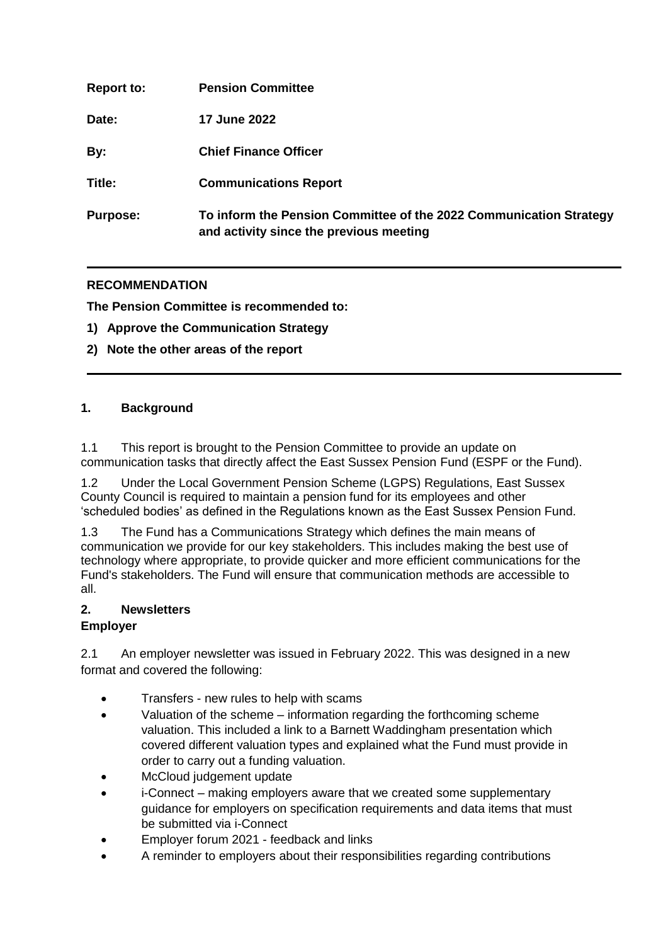| <b>Report to:</b> | <b>Pension Committee</b>                                                                                      |
|-------------------|---------------------------------------------------------------------------------------------------------------|
| Date:             | <b>17 June 2022</b>                                                                                           |
| By:               | <b>Chief Finance Officer</b>                                                                                  |
| Title:            | <b>Communications Report</b>                                                                                  |
| <b>Purpose:</b>   | To inform the Pension Committee of the 2022 Communication Strategy<br>and activity since the previous meeting |

## **RECOMMENDATION**

**The Pension Committee is recommended to:**

- **1) Approve the Communication Strategy**
- **2) Note the other areas of the report**

### **1. Background**

1.1 This report is brought to the Pension Committee to provide an update on communication tasks that directly affect the East Sussex Pension Fund (ESPF or the Fund).

1.2 Under the Local Government Pension Scheme (LGPS) Regulations, East Sussex County Council is required to maintain a pension fund for its employees and other 'scheduled bodies' as defined in the Regulations known as the East Sussex Pension Fund.

1.3 The Fund has a Communications Strategy which defines the main means of communication we provide for our key stakeholders. This includes making the best use of technology where appropriate, to provide quicker and more efficient communications for the Fund's stakeholders. The Fund will ensure that communication methods are accessible to all.

# **2. Newsletters**

#### **Employer**

2.1 An employer newsletter was issued in February 2022. This was designed in a new format and covered the following:

- Transfers new rules to help with scams
- Valuation of the scheme information regarding the forthcoming scheme valuation. This included a link to a Barnett Waddingham presentation which covered different valuation types and explained what the Fund must provide in order to carry out a funding valuation.
- McCloud judgement update
- i-Connect making employers aware that we created some supplementary guidance for employers on specification requirements and data items that must be submitted via i-Connect
- Employer forum 2021 feedback and links
- A reminder to employers about their responsibilities regarding contributions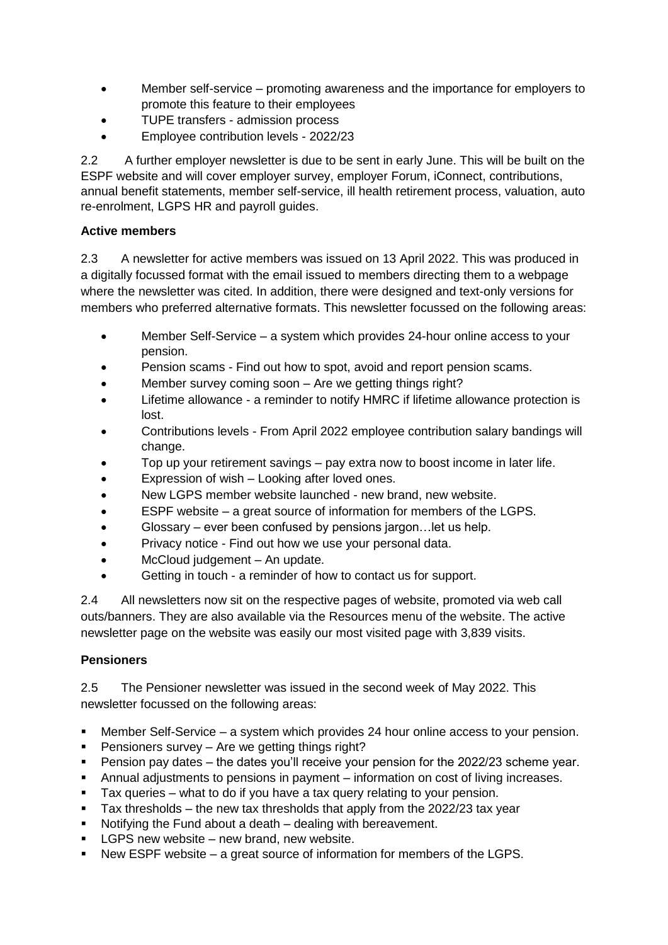- Member self-service promoting awareness and the importance for employers to promote this feature to their employees
- TUPE transfers admission process
- Employee contribution levels 2022/23

2.2 A further employer newsletter is due to be sent in early June. This will be built on the ESPF website and will cover employer survey, employer Forum, iConnect, contributions, annual benefit statements, member self-service, ill health retirement process, valuation, auto re-enrolment, LGPS HR and payroll guides.

# **Active members**

2.3 A newsletter for active members was issued on 13 April 2022. This was produced in a digitally focussed format with the email issued to members directing them to a webpage where the newsletter was cited. In addition, there were designed and text-only versions for members who preferred alternative formats. This newsletter focussed on the following areas:

- Member Self-Service a system which provides 24-hour online access to your pension.
- Pension scams Find out how to spot, avoid and report pension scams.
- Member survey coming soon Are we getting things right?
- Lifetime allowance a reminder to notify HMRC if lifetime allowance protection is lost.
- Contributions levels From April 2022 employee contribution salary bandings will change.
- Top up your retirement savings pay extra now to boost income in later life.
- Expression of wish Looking after loved ones.
- New LGPS member website launched new brand, new website.
- $\bullet$  ESPF website a great source of information for members of the LGPS.
- Glossary ever been confused by pensions jargon…let us help.
- Privacy notice Find out how we use your personal data.
- McCloud judgement An update.
- Getting in touch a reminder of how to contact us for support.

2.4 All newsletters now sit on the respective pages of website, promoted via web call outs/banners. They are also available via the Resources menu of the website. The active newsletter page on the website was easily our most visited page with 3,839 visits.

## **Pensioners**

2.5 The Pensioner newsletter was issued in the second week of May 2022. This newsletter focussed on the following areas:

- Member Self-Service a system which provides 24 hour online access to your pension.
- Pensioners survey Are we getting things right?
- Pension pay dates the dates you'll receive your pension for the 2022/23 scheme year.
- Annual adjustments to pensions in payment information on cost of living increases.
- Tax queries what to do if you have a tax query relating to your pension.
- Tax thresholds the new tax thresholds that apply from the  $2022/23$  tax year
- Notifying the Fund about a death dealing with bereavement.
- **LGPS new website new brand, new website.**
- New ESPF website a great source of information for members of the LGPS.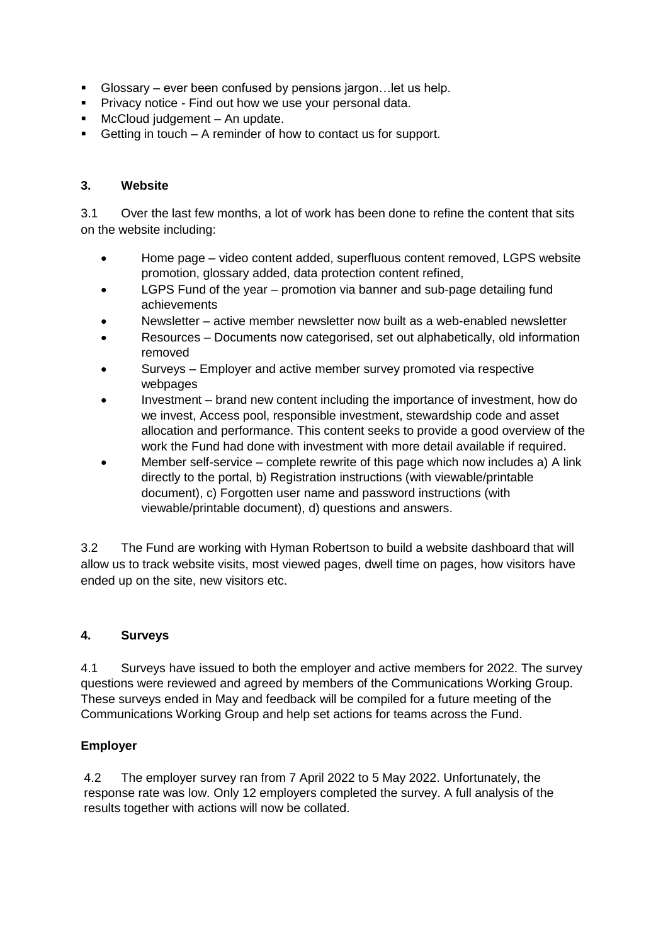- Glossary ever been confused by pensions jargon…let us help.
- **Privacy notice Find out how we use your personal data.**
- **McCloud judgement An update.**
- Getting in touch A reminder of how to contact us for support.

### **3. Website**

3.1 Over the last few months, a lot of work has been done to refine the content that sits on the website including:

- Home page video content added, superfluous content removed, LGPS website promotion, glossary added, data protection content refined,
- LGPS Fund of the year promotion via banner and sub-page detailing fund achievements
- Newsletter active member newsletter now built as a web-enabled newsletter
- Resources Documents now categorised, set out alphabetically, old information removed
- Surveys Employer and active member survey promoted via respective webpages
- Investment brand new content including the importance of investment, how do we invest, Access pool, responsible investment, stewardship code and asset allocation and performance. This content seeks to provide a good overview of the work the Fund had done with investment with more detail available if required.
- Member self-service complete rewrite of this page which now includes a) A link directly to the portal, b) Registration instructions (with viewable/printable document), c) Forgotten user name and password instructions (with viewable/printable document), d) questions and answers.

3.2 The Fund are working with Hyman Robertson to build a website dashboard that will allow us to track website visits, most viewed pages, dwell time on pages, how visitors have ended up on the site, new visitors etc.

#### **4. Surveys**

4.1 Surveys have issued to both the employer and active members for 2022. The survey questions were reviewed and agreed by members of the Communications Working Group. These surveys ended in May and feedback will be compiled for a future meeting of the Communications Working Group and help set actions for teams across the Fund.

## **Employer**

4.2 The employer survey ran from 7 April 2022 to 5 May 2022. Unfortunately, the response rate was low. Only 12 employers completed the survey. A full analysis of the results together with actions will now be collated.